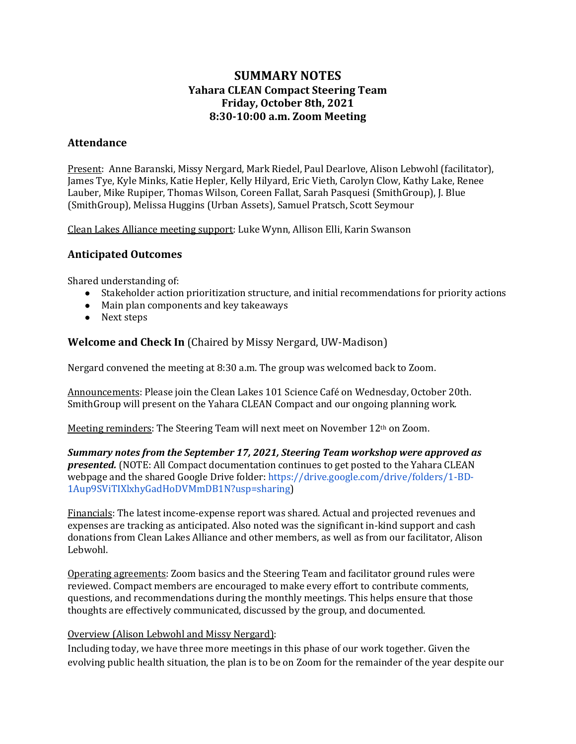# **SUMMARY NOTES Yahara CLEAN Compact Steering Team Friday, October 8th, 2021 8:30-10:00 a.m. Zoom Meeting**

### **Attendance**

Present: Anne Baranski, Missy Nergard, Mark Riedel, Paul Dearlove, Alison Lebwohl (facilitator), James Tye, Kyle Minks, Katie Hepler, Kelly Hilyard, Eric Vieth, Carolyn Clow, Kathy Lake, Renee Lauber, Mike Rupiper, Thomas Wilson, Coreen Fallat, Sarah Pasquesi (SmithGroup), J. Blue (SmithGroup), Melissa Huggins (Urban Assets), Samuel Pratsch, Scott Seymour

Clean Lakes Alliance meeting support: Luke Wynn, Allison Elli, Karin Swanson

### **Anticipated Outcomes**

Shared understanding of:

- Stakeholder action prioritization structure, and initial recommendations for priority actions
- Main plan components and key takeaways
- Next steps

### **Welcome and Check In** (Chaired by Missy Nergard, UW-Madison)

Nergard convened the meeting at  $8:30$  a.m. The group was welcomed back to Zoom.

Announcements: Please join the Clean Lakes 101 Science Café on Wednesday, October 20th. SmithGroup will present on the Yahara CLEAN Compact and our ongoing planning work.

Meeting reminders: The Steering Team will next meet on November 12<sup>th</sup> on Zoom.

*Summary notes from the September 17, 2021, Steering Team workshop were approved as* **presented.** (NOTE: All Compact documentation continues to get posted to the Yahara CLEAN webpage and the shared Google Drive folder: https://drive.google.com/drive/folders/1-BD-1Aup9SViTIXlxhyGadHoDVMmDB1N?usp=sharing)

Financials: The latest income-expense report was shared. Actual and projected revenues and expenses are tracking as anticipated. Also noted was the significant in-kind support and cash donations from Clean Lakes Alliance and other members, as well as from our facilitator, Alison Lebwohl. 

Operating agreements: Zoom basics and the Steering Team and facilitator ground rules were reviewed. Compact members are encouraged to make every effort to contribute comments, questions, and recommendations during the monthly meetings. This helps ensure that those thoughts are effectively communicated, discussed by the group, and documented.

### Overview (Alison Lebwohl and Missy Nergard):

Including today, we have three more meetings in this phase of our work together. Given the evolving public health situation, the plan is to be on Zoom for the remainder of the year despite our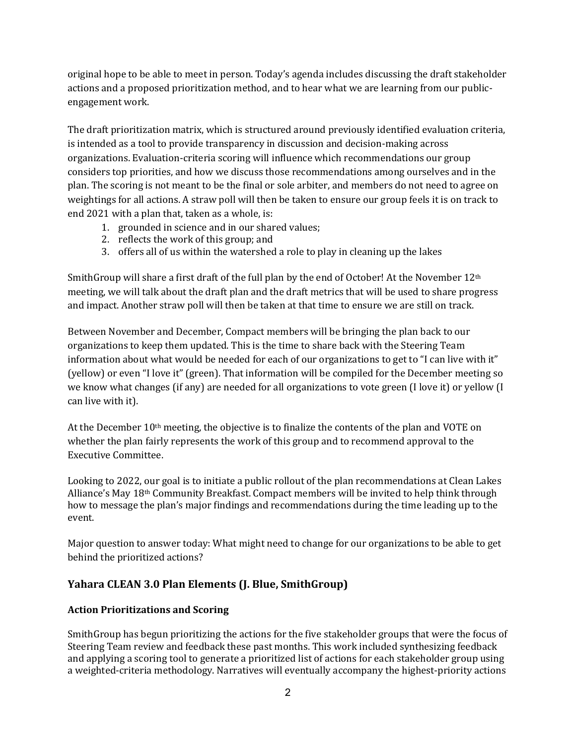original hope to be able to meet in person. Today's agenda includes discussing the draft stakeholder actions and a proposed prioritization method, and to hear what we are learning from our publicengagement work.

The draft prioritization matrix, which is structured around previously identified evaluation criteria, is intended as a tool to provide transparency in discussion and decision-making across organizations. Evaluation-criteria scoring will influence which recommendations our group considers top priorities, and how we discuss those recommendations among ourselves and in the plan. The scoring is not meant to be the final or sole arbiter, and members do not need to agree on weightings for all actions. A straw poll will then be taken to ensure our group feels it is on track to end  $2021$  with a plan that, taken as a whole, is:

- 1. grounded in science and in our shared values;
- 2. reflects the work of this group; and
- 3. offers all of us within the watershed a role to play in cleaning up the lakes

SmithGroup will share a first draft of the full plan by the end of October! At the November  $12<sup>th</sup>$ meeting, we will talk about the draft plan and the draft metrics that will be used to share progress and impact. Another straw poll will then be taken at that time to ensure we are still on track.

Between November and December, Compact members will be bringing the plan back to our organizations to keep them updated. This is the time to share back with the Steering Team information about what would be needed for each of our organizations to get to "I can live with it" (yellow) or even "I love it" (green). That information will be compiled for the December meeting so we know what changes (if any) are needed for all organizations to vote green (I love it) or yellow (I can live with it).

At the December  $10<sup>th</sup>$  meeting, the objective is to finalize the contents of the plan and VOTE on whether the plan fairly represents the work of this group and to recommend approval to the Executive Committee.

Looking to 2022, our goal is to initiate a public rollout of the plan recommendations at Clean Lakes Alliance's May 18<sup>th</sup> Community Breakfast. Compact members will be invited to help think through how to message the plan's major findings and recommendations during the time leading up to the event.

Major question to answer today: What might need to change for our organizations to be able to get behind the prioritized actions?

## **Yahara CLEAN 3.0 Plan Elements (J. Blue, SmithGroup)**

### **Action Prioritizations and Scoring**

SmithGroup has begun prioritizing the actions for the five stakeholder groups that were the focus of Steering Team review and feedback these past months. This work included synthesizing feedback and applying a scoring tool to generate a prioritized list of actions for each stakeholder group using a weighted-criteria methodology. Narratives will eventually accompany the highest-priority actions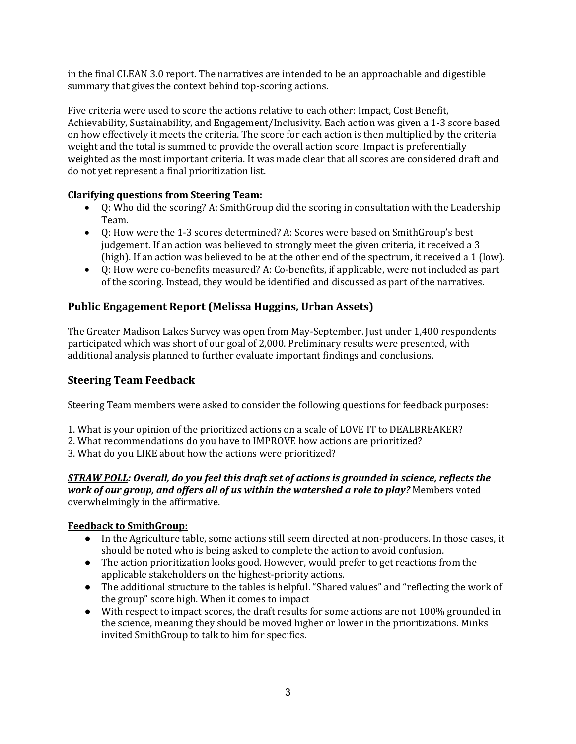in the final CLEAN 3.0 report. The narratives are intended to be an approachable and digestible summary that gives the context behind top-scoring actions.

Five criteria were used to score the actions relative to each other: Impact, Cost Benefit, Achievability, Sustainability, and Engagement/Inclusivity. Each action was given a 1-3 score based on how effectively it meets the criteria. The score for each action is then multiplied by the criteria weight and the total is summed to provide the overall action score. Impact is preferentially weighted as the most important criteria. It was made clear that all scores are considered draft and do not yet represent a final prioritization list.

### **Clarifying questions from Steering Team:**

- O: Who did the scoring? A: SmithGroup did the scoring in consultation with the Leadership Team.
- Q: How were the 1-3 scores determined? A: Scores were based on SmithGroup's best judgement. If an action was believed to strongly meet the given criteria, it received a 3 (high). If an action was believed to be at the other end of the spectrum, it received a 1 (low).
- $\bullet$  O: How were co-benefits measured? A: Co-benefits, if applicable, were not included as part of the scoring. Instead, they would be identified and discussed as part of the narratives.

# **Public Engagement Report (Melissa Huggins, Urban Assets)**

The Greater Madison Lakes Survey was open from May-September. Just under 1,400 respondents participated which was short of our goal of 2,000. Preliminary results were presented, with additional analysis planned to further evaluate important findings and conclusions.

## **Steering Team Feedback**

Steering Team members were asked to consider the following questions for feedback purposes:

- 1. What is your opinion of the prioritized actions on a scale of LOVE IT to DEALBREAKER?
- 2. What recommendations do you have to IMPROVE how actions are prioritized?
- 3. What do you LIKE about how the actions were prioritized?

#### *STRAW POLL: Overall, do you feel this draft set of actions is grounded in science, reflects the* work of our group, and offers all of us within the watershed a role to play? Members voted overwhelmingly in the affirmative.

## **Feedback to SmithGroup:**

- In the Agriculture table, some actions still seem directed at non-producers. In those cases, it should be noted who is being asked to complete the action to avoid confusion.
- The action prioritization looks good. However, would prefer to get reactions from the applicable stakeholders on the highest-priority actions.
- The additional structure to the tables is helpful. "Shared values" and "reflecting the work of the group" score high. When it comes to impact
- With respect to impact scores, the draft results for some actions are not 100% grounded in the science, meaning they should be moved higher or lower in the prioritizations. Minks invited SmithGroup to talk to him for specifics.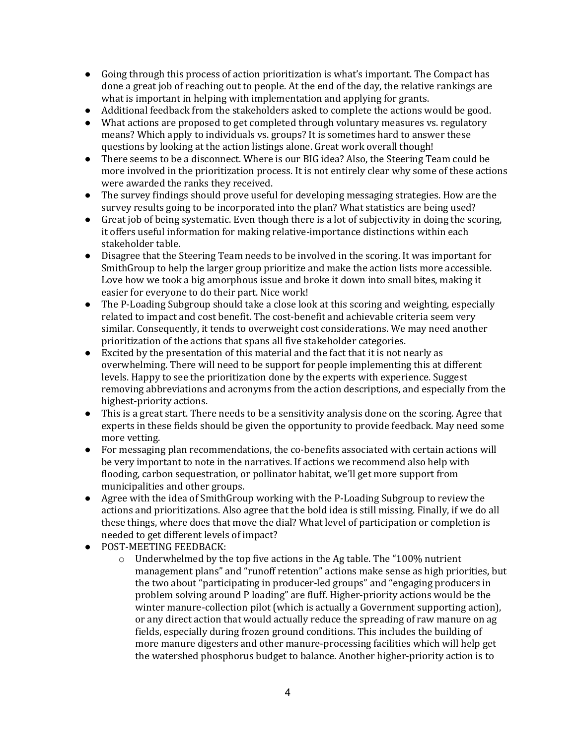- Going through this process of action prioritization is what's important. The Compact has done a great job of reaching out to people. At the end of the day, the relative rankings are what is important in helping with implementation and applying for grants.
- Additional feedback from the stakeholders asked to complete the actions would be good.
- What actions are proposed to get completed through voluntary measures vs. regulatory means? Which apply to individuals vs. groups? It is sometimes hard to answer these questions by looking at the action listings alone. Great work overall though!
- There seems to be a disconnect. Where is our BIG idea? Also, the Steering Team could be more involved in the prioritization process. It is not entirely clear why some of these actions were awarded the ranks they received.
- The survey findings should prove useful for developing messaging strategies. How are the survey results going to be incorporated into the plan? What statistics are being used?
- Great job of being systematic. Even though there is a lot of subjectivity in doing the scoring, it offers useful information for making relative-importance distinctions within each stakeholder table.
- Disagree that the Steering Team needs to be involved in the scoring. It was important for SmithGroup to help the larger group prioritize and make the action lists more accessible. Love how we took a big amorphous issue and broke it down into small bites, making it easier for everyone to do their part. Nice work!
- The P-Loading Subgroup should take a close look at this scoring and weighting, especially related to impact and cost benefit. The cost-benefit and achievable criteria seem very similar. Consequently, it tends to overweight cost considerations. We may need another prioritization of the actions that spans all five stakeholder categories.
- $\bullet$  Excited by the presentation of this material and the fact that it is not nearly as overwhelming. There will need to be support for people implementing this at different levels. Happy to see the prioritization done by the experts with experience. Suggest removing abbreviations and acronyms from the action descriptions, and especially from the highest-priority actions.
- This is a great start. There needs to be a sensitivity analysis done on the scoring. Agree that experts in these fields should be given the opportunity to provide feedback. May need some more vetting.
- For messaging plan recommendations, the co-benefits associated with certain actions will be very important to note in the narratives. If actions we recommend also help with flooding, carbon sequestration, or pollinator habitat, we'll get more support from municipalities and other groups.
- Agree with the idea of SmithGroup working with the P-Loading Subgroup to review the actions and prioritizations. Also agree that the bold idea is still missing. Finally, if we do all these things, where does that move the dial? What level of participation or completion is needed to get different levels of impact?
- POST-MEETING FEEDBACK:
	- $\circ$  Underwhelmed by the top five actions in the Ag table. The "100% nutrient management plans" and "runoff retention" actions make sense as high priorities, but the two about "participating in producer-led groups" and "engaging producers in problem solving around P loading" are fluff. Higher-priority actions would be the winter manure-collection pilot (which is actually a Government supporting action), or any direct action that would actually reduce the spreading of raw manure on ag fields, especially during frozen ground conditions. This includes the building of more manure digesters and other manure-processing facilities which will help get the watershed phosphorus budget to balance. Another higher-priority action is to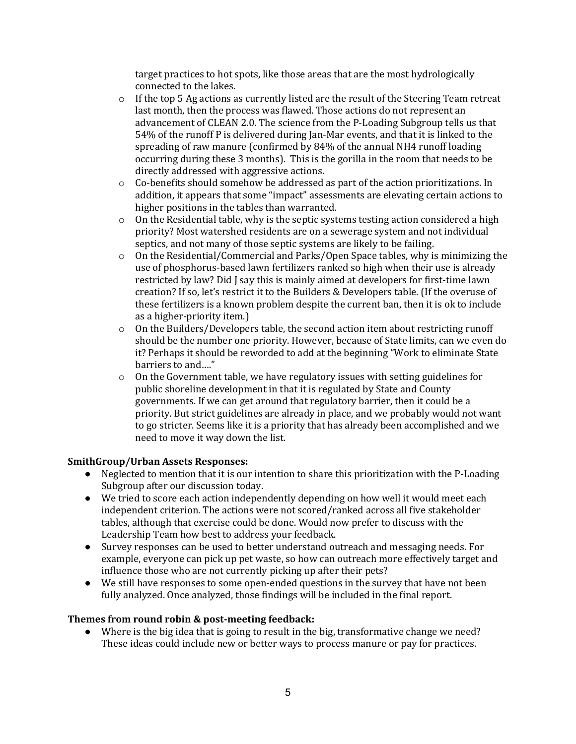target practices to hot spots, like those areas that are the most hydrologically connected to the lakes.

- $\circ$  If the top 5 Ag actions as currently listed are the result of the Steering Team retreat last month, then the process was flawed. Those actions do not represent an advancement of CLEAN 2.0. The science from the P-Loading Subgroup tells us that 54% of the runoff P is delivered during Jan-Mar events, and that it is linked to the spreading of raw manure (confirmed by 84% of the annual NH4 runoff loading occurring during these 3 months). This is the gorilla in the room that needs to be directly addressed with aggressive actions.
- $\circ$  Co-benefits should somehow be addressed as part of the action prioritizations. In addition, it appears that some "impact" assessments are elevating certain actions to higher positions in the tables than warranted.
- $\circ$  On the Residential table, why is the septic systems testing action considered a high priority? Most watershed residents are on a sewerage system and not individual septics, and not many of those septic systems are likely to be failing.
- $\circ$  On the Residential/Commercial and Parks/Open Space tables, why is minimizing the use of phosphorus-based lawn fertilizers ranked so high when their use is already restricted by law? Did J say this is mainly aimed at developers for first-time lawn creation? If so, let's restrict it to the Builders & Developers table. (If the overuse of these fertilizers is a known problem despite the current ban, then it is ok to include as a higher-priority item.)
- $\circ$  On the Builders/Developers table, the second action item about restricting runoff should be the number one priority. However, because of State limits, can we even do it? Perhaps it should be reworded to add at the beginning "Work to eliminate State barriers to and...."
- $\circ$  On the Government table, we have regulatory issues with setting guidelines for public shoreline development in that it is regulated by State and County governments. If we can get around that regulatory barrier, then it could be a priority. But strict guidelines are already in place, and we probably would not want to go stricter. Seems like it is a priority that has already been accomplished and we need to move it way down the list.

#### **SmithGroup/Urban Assets Responses:**

- $\bullet$  Neglected to mention that it is our intention to share this prioritization with the P-Loading Subgroup after our discussion today.
- We tried to score each action independently depending on how well it would meet each independent criterion. The actions were not scored/ranked across all five stakeholder tables, although that exercise could be done. Would now prefer to discuss with the Leadership Team how best to address your feedback.
- Survey responses can be used to better understand outreach and messaging needs. For example, everyone can pick up pet waste, so how can outreach more effectively target and influence those who are not currently picking up after their pets?
- We still have responses to some open-ended questions in the survey that have not been fully analyzed. Once analyzed, those findings will be included in the final report.

#### **Themes from round robin & post-meeting feedback:**

 $\bullet$  Where is the big idea that is going to result in the big, transformative change we need? These ideas could include new or better ways to process manure or pay for practices.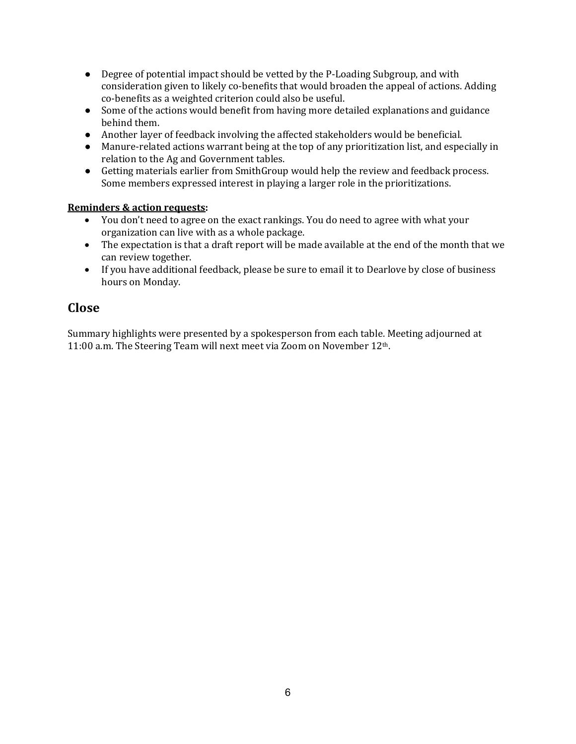- Degree of potential impact should be vetted by the P-Loading Subgroup, and with consideration given to likely co-benefits that would broaden the appeal of actions. Adding co-benefits as a weighted criterion could also be useful.
- Some of the actions would benefit from having more detailed explanations and guidance behind them.
- Another layer of feedback involving the affected stakeholders would be beneficial.
- Manure-related actions warrant being at the top of any prioritization list, and especially in relation to the Ag and Government tables.
- Getting materials earlier from SmithGroup would help the review and feedback process. Some members expressed interest in playing a larger role in the prioritizations.

### **Reminders & action requests:**

- You don't need to agree on the exact rankings. You do need to agree with what your organization can live with as a whole package.
- The expectation is that a draft report will be made available at the end of the month that we can review together.
- If you have additional feedback, please be sure to email it to Dearlove by close of business hours on Monday.

# **Close**

Summary highlights were presented by a spokesperson from each table. Meeting adjourned at 11:00 a.m. The Steering Team will next meet via Zoom on November 12th.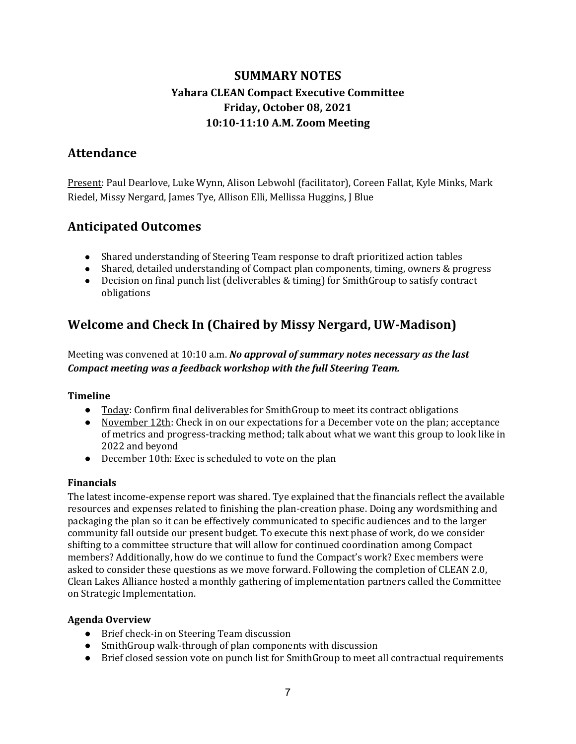# **SUMMARY NOTES Yahara CLEAN Compact Executive Committee Friday, October 08, 2021 10:10-11:10 A.M. Zoom Meeting**

# **Attendance**

Present: Paul Dearlove, Luke Wynn, Alison Lebwohl (facilitator), Coreen Fallat, Kyle Minks, Mark Riedel, Missy Nergard, James Tye, Allison Elli, Mellissa Huggins, J Blue

# **Anticipated Outcomes**

- Shared understanding of Steering Team response to draft prioritized action tables
- Shared, detailed understanding of Compact plan components, timing, owners & progress
- Decision on final punch list (deliverables  $&$  timing) for SmithGroup to satisfy contract obligations

# **Welcome and Check In (Chaired by Missy Nergard, UW-Madison)**

Meeting was convened at 10:10 a.m. *No approval of summary notes necessary as the last Compact meeting was a feedback workshop with the full Steering Team.* 

## **Timeline**

- Today: Confirm final deliverables for SmithGroup to meet its contract obligations
- November 12th: Check in on our expectations for a December vote on the plan; acceptance of metrics and progress-tracking method; talk about what we want this group to look like in 2022 and beyond
- December 10th: Exec is scheduled to vote on the plan

## **Financials**

The latest income-expense report was shared. Tye explained that the financials reflect the available resources and expenses related to finishing the plan-creation phase. Doing any wordsmithing and packaging the plan so it can be effectively communicated to specific audiences and to the larger community fall outside our present budget. To execute this next phase of work, do we consider shifting to a committee structure that will allow for continued coordination among Compact members? Additionally, how do we continue to fund the Compact's work? Exec members were asked to consider these questions as we move forward. Following the completion of CLEAN 2.0, Clean Lakes Alliance hosted a monthly gathering of implementation partners called the Committee on Strategic Implementation.

## **Agenda Overview**

- Brief check-in on Steering Team discussion
- SmithGroup walk-through of plan components with discussion
- Brief closed session vote on punch list for SmithGroup to meet all contractual requirements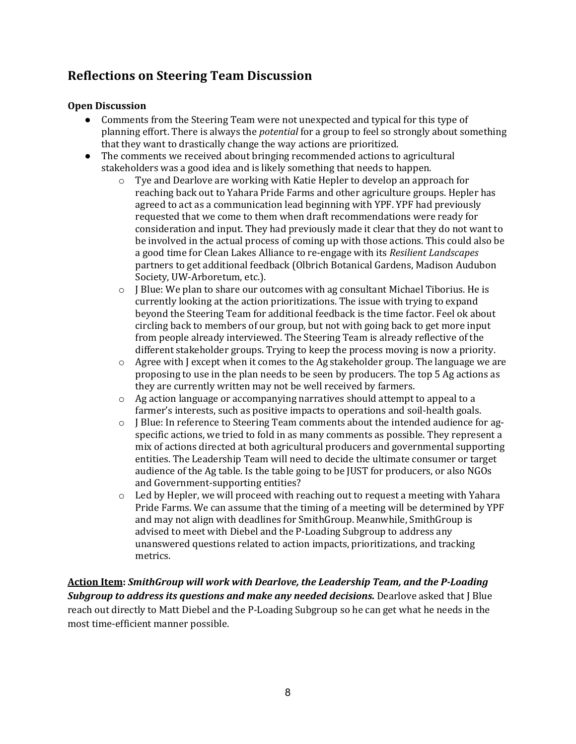# **Reflections on Steering Team Discussion**

### **Open Discussion**

- Comments from the Steering Team were not unexpected and typical for this type of planning effort. There is always the *potential* for a group to feel so strongly about something that they want to drastically change the way actions are prioritized.
- The comments we received about bringing recommended actions to agricultural stakeholders was a good idea and is likely something that needs to happen.
	- $\circ$  Tye and Dearlove are working with Katie Hepler to develop an approach for reaching back out to Yahara Pride Farms and other agriculture groups. Hepler has agreed to act as a communication lead beginning with YPF. YPF had previously requested that we come to them when draft recommendations were ready for consideration and input. They had previously made it clear that they do not want to be involved in the actual process of coming up with those actions. This could also be a good time for Clean Lakes Alliance to re-engage with its *Resilient Landscapes* partners to get additional feedback (Olbrich Botanical Gardens, Madison Audubon Society, UW-Arboretum, etc.).
	- $\circ$  J Blue: We plan to share our outcomes with ag consultant Michael Tiborius. He is currently looking at the action prioritizations. The issue with trying to expand beyond the Steering Team for additional feedback is the time factor. Feel ok about circling back to members of our group, but not with going back to get more input from people already interviewed. The Steering Team is already reflective of the different stakeholder groups. Trying to keep the process moving is now a priority.
	- $\circ$  Agree with J except when it comes to the Ag stakeholder group. The language we are proposing to use in the plan needs to be seen by producers. The top 5 Ag actions as they are currently written may not be well received by farmers.
	- $\circ$  Ag action language or accompanying narratives should attempt to appeal to a farmer's interests, such as positive impacts to operations and soil-health goals.
	- $\circ$  J Blue: In reference to Steering Team comments about the intended audience for agspecific actions, we tried to fold in as many comments as possible. They represent a mix of actions directed at both agricultural producers and governmental supporting entities. The Leadership Team will need to decide the ultimate consumer or target audience of the Ag table. Is the table going to be JUST for producers, or also NGOs and Government-supporting entities?
	- $\circ$  Led by Hepler, we will proceed with reaching out to request a meeting with Yahara Pride Farms. We can assume that the timing of a meeting will be determined by YPF and may not align with deadlines for SmithGroup. Meanwhile, SmithGroup is advised to meet with Diebel and the P-Loading Subgroup to address any unanswered questions related to action impacts, prioritizations, and tracking metrics.

**Action Item:** SmithGroup will work with Dearlove, the Leadership Team, and the P-Loading **Subgroup to address its questions and make any needed decisions.** Dearlove asked that J Blue reach out directly to Matt Diebel and the P-Loading Subgroup so he can get what he needs in the most time-efficient manner possible.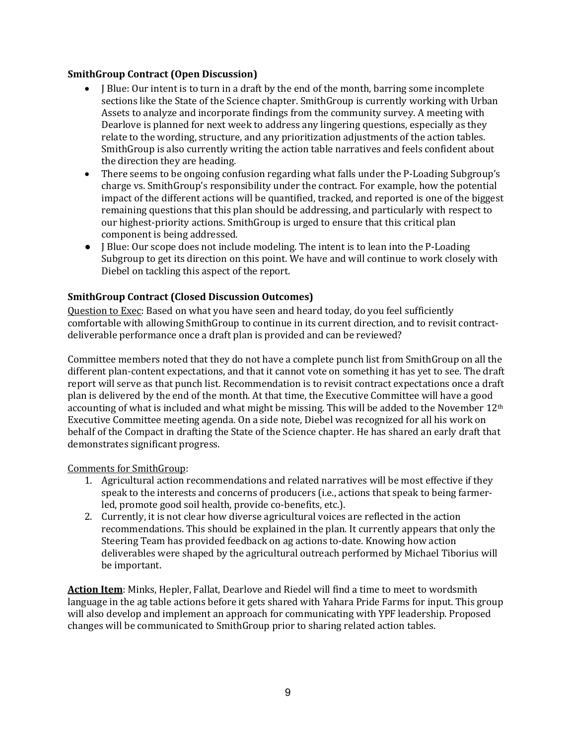#### **SmithGroup Contract (Open Discussion)**

- I Blue: Our intent is to turn in a draft by the end of the month, barring some incomplete sections like the State of the Science chapter. SmithGroup is currently working with Urban Assets to analyze and incorporate findings from the community survey. A meeting with Dearlove is planned for next week to address any lingering questions, especially as they relate to the wording, structure, and any prioritization adjustments of the action tables. SmithGroup is also currently writing the action table narratives and feels confident about the direction they are heading.
- There seems to be ongoing confusion regarding what falls under the P-Loading Subgroup's charge vs. SmithGroup's responsibility under the contract. For example, how the potential impact of the different actions will be quantified, tracked, and reported is one of the biggest remaining questions that this plan should be addressing, and particularly with respect to our highest-priority actions. SmithGroup is urged to ensure that this critical plan component is being addressed.
- J Blue: Our scope does not include modeling. The intent is to lean into the P-Loading Subgroup to get its direction on this point. We have and will continue to work closely with Diebel on tackling this aspect of the report.

### **SmithGroup Contract (Closed Discussion Outcomes)**

Question to Exec: Based on what you have seen and heard today, do you feel sufficiently comfortable with allowing SmithGroup to continue in its current direction, and to revisit contractdeliverable performance once a draft plan is provided and can be reviewed?

Committee members noted that they do not have a complete punch list from SmithGroup on all the different plan-content expectations, and that it cannot vote on something it has yet to see. The draft report will serve as that punch list. Recommendation is to revisit contract expectations once a draft plan is delivered by the end of the month. At that time, the Executive Committee will have a good accounting of what is included and what might be missing. This will be added to the November 12th Executive Committee meeting agenda. On a side note, Diebel was recognized for all his work on behalf of the Compact in drafting the State of the Science chapter. He has shared an early draft that demonstrates significant progress.

Comments for SmithGroup:

- 1. Agricultural action recommendations and related narratives will be most effective if they speak to the interests and concerns of producers (i.e., actions that speak to being farmerled, promote good soil health, provide co-benefits, etc.).
- 2. Currently, it is not clear how diverse agricultural voices are reflected in the action recommendations. This should be explained in the plan. It currently appears that only the Steering Team has provided feedback on ag actions to-date. Knowing how action deliverables were shaped by the agricultural outreach performed by Michael Tiborius will be important.

**Action Item**: Minks, Hepler, Fallat, Dearlove and Riedel will find a time to meet to wordsmith language in the ag table actions before it gets shared with Yahara Pride Farms for input. This group will also develop and implement an approach for communicating with YPF leadership. Proposed changes will be communicated to SmithGroup prior to sharing related action tables.